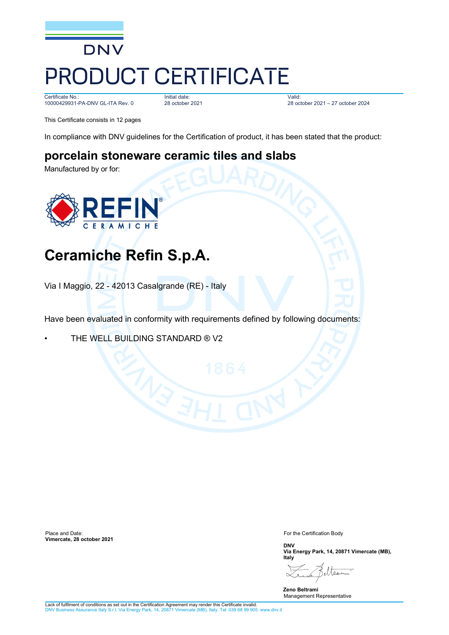

Certificate No.: 10000429931-PA-DNV GL-ITA Rev. 0

Initial date: 28 october 2021

Valid: 28 october 2021 – 27 october 2024

This Certificate consists in 12 pages

In compliance with DNV guidelines for the Certification of product, it has been stated that the product:

## **porcelain stoneware ceramic tiles and slabs**

Manufactured by or for:



# **Ceramiche Refin S.p.A.**

Via I Maggio, 22 - 42013 Casalgrande (RE) - Italy

Have been evaluated in conformity with requirements defined by following documents:

THE WELL BUILDING STANDARD ® V2

Place and Date: **Vimercate, 28 october 2021** For the Certification Body

**DNV Via Energy Park, 14, 20871 Vimercate (MB), Italy**

ے را  $\triangleright$ 

**Zeno Beltrami** Management Representative

Lack of fulfilment of conditions as set out in the Certification Agreement may render this Certificate invalid. S.r.l. Via Energy Park, 14, 20871 Vimercate (MB), Italy. Tel: 039 68 99 905. www.dnv.it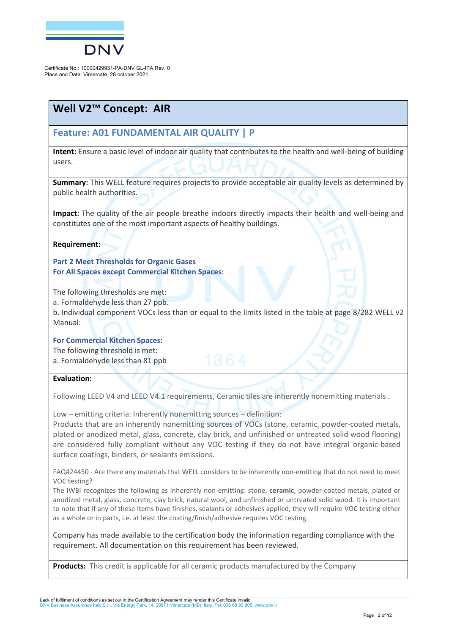

## **Well V2™ Concept: AIR**

### **Feature: A01 FUNDAMENTAL AIR QUALITY | P**

**Intent:** Ensure a basic level of indoor air quality that contributes to the health and well-being of building users.

**Summary:** This WELL feature requires projects to provide acceptable air quality levels as determined by public health authorities.

**Impact:** The quality of the air people breathe indoors directly impacts their health and well-being and constitutes one of the most important aspects of healthy buildings.

#### **Requirement:**

**Part 2 Meet Thresholds for Organic Gases For All Spaces except Commercial Kitchen Spaces:**

The following thresholds are met:

a. Formaldehyde less than 27 ppb.

b. Individual component VOCs less than or equal to the limits listed in the table at page 8/282 WELL v2 Manual:

#### **For Commercial Kitchen Spaces:**

The following threshold is met:

a. Formaldehyde less than 81 ppb

#### **Evaluation:**

Following LEED V4 and LEED V4.1 requirements, Ceramic tiles are inherently nonemitting materials.

Low – emitting criteria: Inherently nonemitting sources – definition:

Products that are an inherently nonemitting sources of VOCs (stone, ceramic, powder-coated metals, plated or anodized metal, glass, concrete, clay brick, and unfinished or untreated solid wood flooring) are considered fully compliant without any VOC testing if they do not have integral organic-based surface coatings, binders, or sealants emissions.

FAQ#24450 - Are there any materials that WELL considers to be inherently non-emitting that do not need to meet VOC testing?

The IWBI recognizes the following as inherently non-emitting: stone, **ceramic**, powder-coated metals, plated or anodized metal, glass, concrete, clay brick, natural wool, and unfinished or untreated solid wood. It is important to note that if any of these items have finishes, sealants or adhesives applied, they will require VOC testing either as a whole or in parts, i.e. at least the coating/finish/adhesive requires VOC testing.

Company has made available to the certification body the information regarding compliance with the requirement. All documentation on this requirement has been reviewed.

**Products:** This credit is applicable for all ceramic products manufactured by the Company

Lack of fulfilment of conditions as set out in the Certification Agreement may render this Certificate invalid. DNV Business Assurance Italy S.r.l. Via Energy Park, 14, 20871 Vimercate (MB), Italy. Tel: 039 68 99 905. www.dnv.it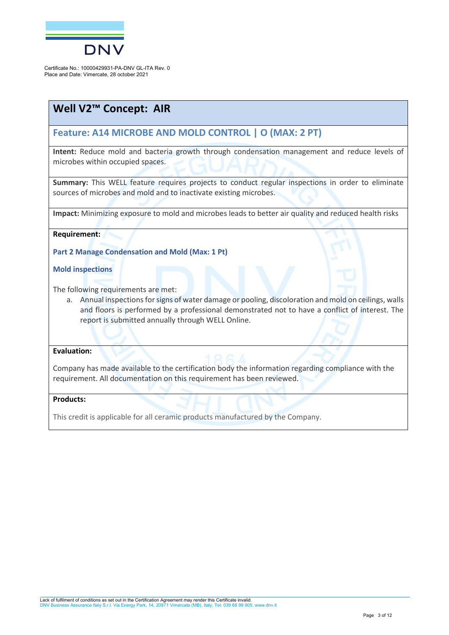

## **Well V2™ Concept: AIR**

### **Feature: A14 MICROBE AND MOLD CONTROL | O (MAX: 2 PT)**

**Intent:** Reduce mold and bacteria growth through condensation management and reduce levels of microbes within occupied spaces.

**Summary:** This WELL feature requires projects to conduct regular inspections in order to eliminate sources of microbes and mold and to inactivate existing microbes.

**Impact:** Minimizing exposure to mold and microbes leads to better air quality and reduced health risks

#### **Requirement:**

**Part 2 Manage Condensation and Mold (Max: 1 Pt)**

**Mold inspections**

The following requirements are met:

a. Annual inspections for signs of water damage or pooling, discoloration and mold on ceilings, walls and floors is performed by a professional demonstrated not to have a conflict of interest. The report is submitted annually through WELL Online.

#### **Evaluation:**

Company has made available to the certification body the information regarding compliance with the requirement. All documentation on this requirement has been reviewed.

#### **Products:**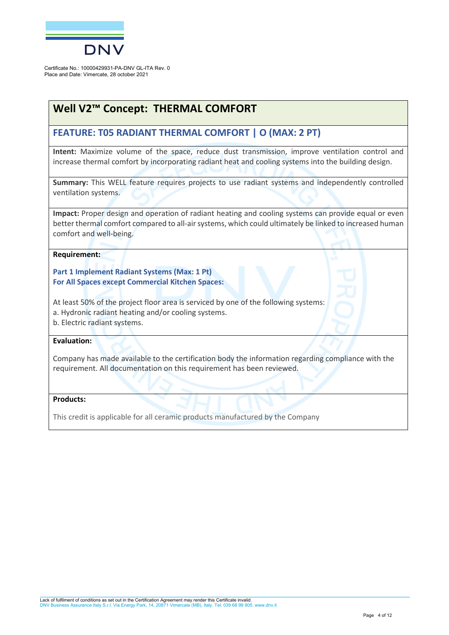

## **Well V2™ Concept: THERMAL COMFORT**

### **FEATURE: T05 RADIANT THERMAL COMFORT | O (MAX: 2 PT)**

**Intent:** Maximize volume of the space, reduce dust transmission, improve ventilation control and increase thermal comfort by incorporating radiant heat and cooling systems into the building design.

**Summary:** This WELL feature requires projects to use radiant systems and independently controlled ventilation systems.

**Impact:** Proper design and operation of radiant heating and cooling systems can provide equal or even better thermal comfort compared to all-air systems, which could ultimately be linked to increased human comfort and well-being.

#### **Requirement:**

**Part 1 Implement Radiant Systems (Max: 1 Pt) For All Spaces except Commercial Kitchen Spaces:**

At least 50% of the project floor area is serviced by one of the following systems:

a. Hydronic radiant heating and/or cooling systems.

b. Electric radiant systems.

#### **Evaluation:**

Company has made available to the certification body the information regarding compliance with the requirement. All documentation on this requirement has been reviewed.

#### **Products:**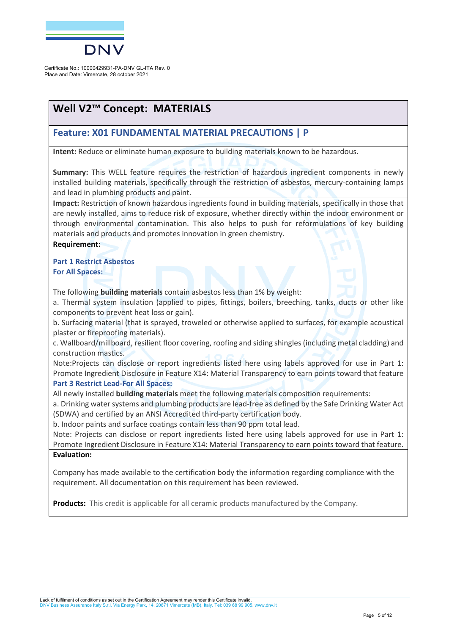

## **Well V2™ Concept: MATERIALS**

### **Feature: X01 FUNDAMENTAL MATERIAL PRECAUTIONS | P**

**Intent:** Reduce or eliminate human exposure to building materials known to be hazardous.

**Summary:** This WELL feature requires the restriction of hazardous ingredient components in newly installed building materials, specifically through the restriction of asbestos, mercury-containing lamps and lead in plumbing products and paint.

**Impact:** Restriction of known hazardous ingredients found in building materials, specifically in those that are newly installed, aims to reduce risk of exposure, whether directly within the indoor environment or through environmental contamination. This also helps to push for reformulations of key building materials and products and promotes innovation in green chemistry.

**Requirement:** 

**Part 1 Restrict Asbestos For All Spaces:**

The following **building materials** contain asbestos less than 1% by weight:

a. Thermal system insulation (applied to pipes, fittings, boilers, breeching, tanks, ducts or other like components to prevent heat loss or gain).

b. Surfacing material (that is sprayed, troweled or otherwise applied to surfaces, for example acoustical plaster or fireproofing materials).

c. Wallboard/millboard, resilient floor covering, roofing and siding shingles (including metal cladding) and construction mastics.

Note:Projects can disclose or report ingredients listed here using labels approved for use in Part 1: Promote Ingredient Disclosure in Feature X14: Material Transparency to earn points toward that feature **Part 3 Restrict Lead-For All Spaces:**

All newly installed **building materials** meet the following materials composition requirements:

a. Drinking water systems and plumbing products are lead-free as defined by the Safe Drinking Water Act (SDWA) and certified by an ANSI Accredited third-party certification body.

b. Indoor paints and surface coatings contain less than 90 ppm total lead.

Note: Projects can disclose or report ingredients listed here using labels approved for use in Part 1: Promote Ingredient Disclosure in Feature X14: Material Transparency to earn points toward that feature. **Evaluation:** 

Company has made available to the certification body the information regarding compliance with the requirement. All documentation on this requirement has been reviewed.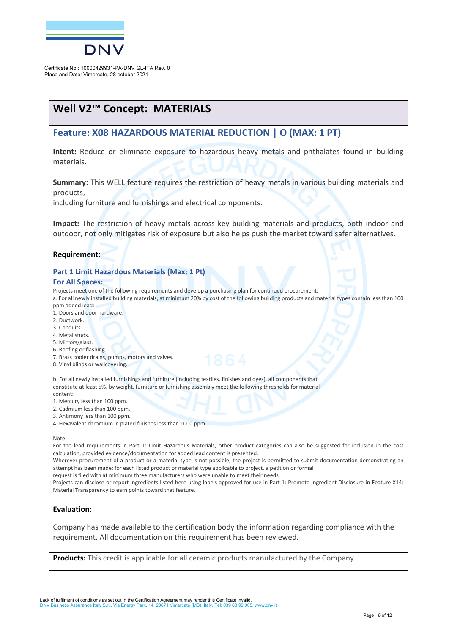

## **Well V2™ Concept: MATERIALS**

### **Feature: X08 HAZARDOUS MATERIAL REDUCTION | O (MAX: 1 PT)**

**Intent:** Reduce or eliminate exposure to hazardous heavy metals and phthalates found in building materials.

**Summary:** This WELL feature requires the restriction of heavy metals in various building materials and products,

including furniture and furnishings and electrical components.

**Impact:** The restriction of heavy metals across key building materials and products, both indoor and outdoor, not only mitigates risk of exposure but also helps push the market toward safer alternatives.

#### **Requirement:**

#### **Part 1 Limit Hazardous Materials (Max: 1 Pt)**

#### **For All Spaces:**

Projects meet one of the following requirements and develop a purchasing plan for continued procurement:

a. For all newly installed building materials, at minimum 20% by cost of the following building products and material types contain less than 100 ppm added lead:

- 1. Doors and door hardware.
- 2. Ductwork.
- 3. Conduits.
- 4. Metal studs.
- 5. Mirrors/glass.
- 6. Roofing or flashing.
- 7. Brass cooler drains, pumps, motors and valves.
- 8. Vinyl blinds or wallcovering.

b. For all newly installed furnishings and furniture (including textiles, finishes and dyes), all components that constitute at least 5%, by weight, furniture or furnishing assembly meet the following thresholds for material content:

- 1. Mercury less than 100 ppm.
- 2. Cadmium less than 100 ppm.
- 3. Antimony less than 100 ppm.
- 4. Hexavalent chromium in plated finishes less than 1000 ppm

Note:

For the lead requirements in Part 1: Limit Hazardous Materials, other product categories can also be suggested for inclusion in the cost calculation, provided evidence/documentation for added lead content is presented.

Wherever procurement of a product or a material type is not possible, the project is permitted to submit documentation demonstrating an attempt has been made: for each listed product or material type applicable to project, a petition or formal

request is filed with at minimum three manufacturers who were unable to meet their needs.

Projects can disclose or report ingredients listed here using labels approved for use in Part 1: Promote Ingredient Disclosure in Feature X14: Material Transparency to earn points toward that feature.

#### **Evaluation:**

Company has made available to the certification body the information regarding compliance with the requirement. All documentation on this requirement has been reviewed.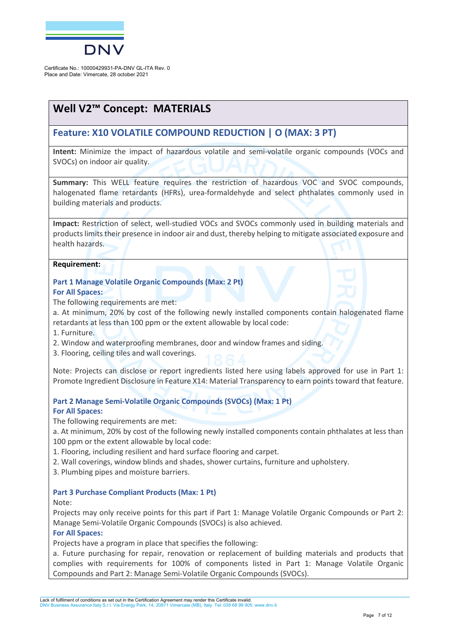

## **Well V2™ Concept: MATERIALS**

### **Feature: X10 VOLATILE COMPOUND REDUCTION | O (MAX: 3 PT)**

**Intent:** Minimize the impact of hazardous volatile and semi-volatile organic compounds (VOCs and SVOCs) on indoor air quality.

**Summary:** This WELL feature requires the restriction of hazardous VOC and SVOC compounds, halogenated flame retardants (HFRs), urea-formaldehyde and select phthalates commonly used in building materials and products.

**Impact:** Restriction of select, well-studied VOCs and SVOCs commonly used in building materials and products limits their presence in indoor air and dust, thereby helping to mitigate associated exposure and health hazards.

**Requirement:** 

**Part 1 Manage Volatile Organic Compounds (Max: 2 Pt) For All Spaces:**

The following requirements are met:

a. At minimum, 20% by cost of the following newly installed components contain halogenated flame retardants at less than 100 ppm or the extent allowable by local code:

- 1. Furniture.
- 2. Window and waterproofing membranes, door and window frames and siding.

3. Flooring, ceiling tiles and wall coverings.

Note: Projects can disclose or report ingredients listed here using labels approved for use in Part 1: Promote Ingredient Disclosure in Feature X14: Material Transparency to earn points toward that feature.

**Part 2 Manage Semi-Volatile Organic Compounds (SVOCs) (Max: 1 Pt) For All Spaces:**

The following requirements are met:

a. At minimum, 20% by cost of the following newly installed components contain phthalates at less than 100 ppm or the extent allowable by local code:

1. Flooring, including resilient and hard surface flooring and carpet.

2. Wall coverings, window blinds and shades, shower curtains, furniture and upholstery.

3. Plumbing pipes and moisture barriers.

#### **Part 3 Purchase Compliant Products (Max: 1 Pt)**

#### Note:

Projects may only receive points for this part if Part 1: Manage Volatile Organic Compounds or Part 2: Manage Semi-Volatile Organic Compounds (SVOCs) is also achieved.

#### **For All Spaces:**

Projects have a program in place that specifies the following:

a. Future purchasing for repair, renovation or replacement of building materials and products that complies with requirements for 100% of components listed in Part 1: Manage Volatile Organic Compounds and Part 2: Manage Semi-Volatile Organic Compounds (SVOCs).

Lack of fulfilment of conditions as set out in the Certification Agreement may render this Certificate invalid. DNV Business Assurance Italy S.r.l. Via Energy Park, 14, 20871 Vimercate (MB), Italy. Tel: 039 68 99 905. www.dnv.it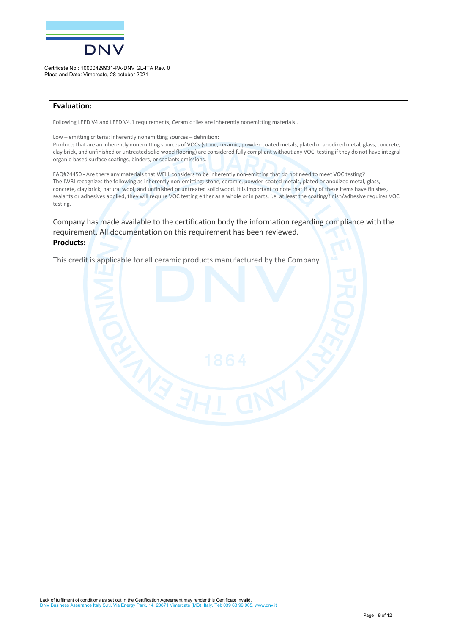

#### **Evaluation:**

Following LEED V4 and LEED V4.1 requirements, Ceramic tiles are inherently nonemitting materials .

Low – emitting criteria: Inherently nonemitting sources – definition:

Products that are an inherently nonemitting sources of VOCs (stone, ceramic, powder-coated metals, plated or anodized metal, glass, concrete, clay brick, and unfinished or untreated solid wood flooring) are considered fully compliant without any VOC testing if they do not have integral organic-based surface coatings, binders, or sealants emissions.

FAQ#24450 - Are there any materials that WELL considers to be inherently non-emitting that do not need to meet VOC testing? The IWBI recognizes the following as inherently non-emitting: stone, ceramic, powder-coated metals, plated or anodized metal, glass, concrete, clay brick, natural wool, and unfinished or untreated solid wood. It is important to note that if any of these items have finishes, sealants or adhesives applied, they will require VOC testing either as a whole or in parts, i.e. at least the coating/finish/adhesive requires VOC testing.

Company has made available to the certification body the information regarding compliance with the requirement. All documentation on this requirement has been reviewed.

#### **Products:**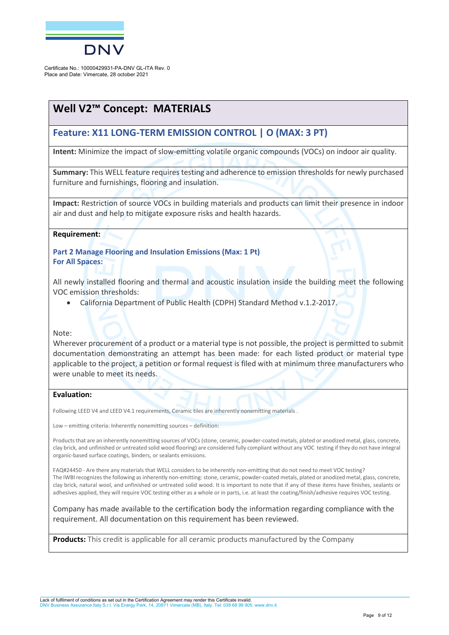

## **Well V2™ Concept: MATERIALS**

### **Feature: X11 LONG-TERM EMISSION CONTROL | O (MAX: 3 PT)**

**Intent:** Minimize the impact of slow-emitting volatile organic compounds (VOCs) on indoor air quality.

**Summary:** This WELL feature requires testing and adherence to emission thresholds for newly purchased furniture and furnishings, flooring and insulation.

**Impact:** Restriction of source VOCs in building materials and products can limit their presence in indoor air and dust and help to mitigate exposure risks and health hazards.

#### **Requirement:**

**Part 2 Manage Flooring and Insulation Emissions (Max: 1 Pt) For All Spaces:**

All newly installed flooring and thermal and acoustic insulation inside the building meet the following VOC emission thresholds:

• California Department of Public Health (CDPH) Standard Method v.1.2-2017.

Note:

Wherever procurement of a product or a material type is not possible, the project is permitted to submit documentation demonstrating an attempt has been made: for each listed product or material type applicable to the project, a petition or formal request is filed with at minimum three manufacturers who were unable to meet its needs.

#### **Evaluation:**

Following LEED V4 and LEED V4.1 requirements, Ceramic tiles are inherently nonemitting materials.

Low – emitting criteria: Inherently nonemitting sources – definition:

Products that are an inherently nonemitting sources of VOCs (stone, ceramic, powder-coated metals, plated or anodized metal, glass, concrete, clay brick, and unfinished or untreated solid wood flooring) are considered fully compliant without any VOC testing if they do not have integral organic-based surface coatings, binders, or sealants emissions.

FAQ#24450 - Are there any materials that WELL considers to be inherently non-emitting that do not need to meet VOC testing? The IWBI recognizes the following as inherently non-emitting: stone, ceramic, powder-coated metals, plated or anodized metal, glass, concrete, clay brick, natural wool, and unfinished or untreated solid wood. It is important to note that if any of these items have finishes, sealants or adhesives applied, they will require VOC testing either as a whole or in parts, i.e. at least the coating/finish/adhesive requires VOC testing.

Company has made available to the certification body the information regarding compliance with the requirement. All documentation on this requirement has been reviewed.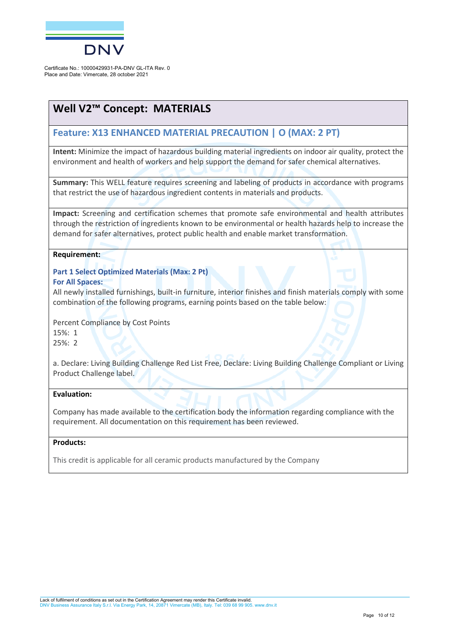

## **Well V2™ Concept: MATERIALS**

### **Feature: X13 ENHANCED MATERIAL PRECAUTION | O (MAX: 2 PT)**

**Intent:** Minimize the impact of hazardous building material ingredients on indoor air quality, protect the environment and health of workers and help support the demand for safer chemical alternatives.

**Summary:** This WELL feature requires screening and labeling of products in accordance with programs that restrict the use of hazardous ingredient contents in materials and products.

**Impact:** Screening and certification schemes that promote safe environmental and health attributes through the restriction of ingredients known to be environmental or health hazards help to increase the demand for safer alternatives, protect public health and enable market transformation.

#### **Requirement:**

**Part 1 Select Optimized Materials (Max: 2 Pt)**

#### **For All Spaces:**

All newly installed furnishings, built-in furniture, interior finishes and finish materials comply with some combination of the following programs, earning points based on the table below:

Percent Compliance by Cost Points 15%: 1 25%: 2

a. Declare: Living Building Challenge Red List Free, Declare: Living Building Challenge Compliant or Living Product Challenge label.

#### **Evaluation:**

Company has made available to the certification body the information regarding compliance with the requirement. All documentation on this requirement has been reviewed.

#### **Products:**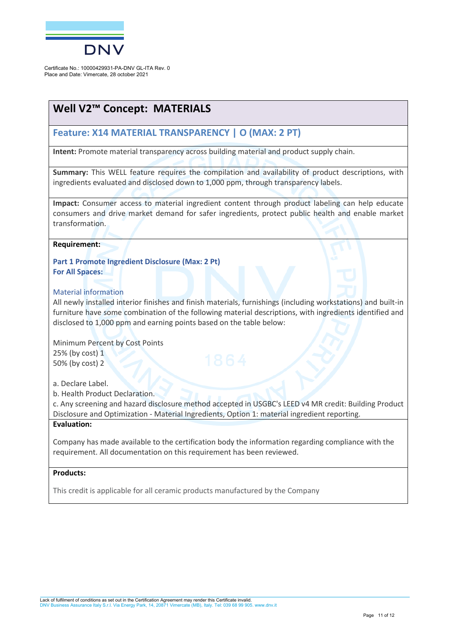

## **Well V2™ Concept: MATERIALS**

### **Feature: X14 MATERIAL TRANSPARENCY | O (MAX: 2 PT)**

**Intent:** Promote material transparency across building material and product supply chain.

**Summary:** This WELL feature requires the compilation and availability of product descriptions, with ingredients evaluated and disclosed down to 1,000 ppm, through transparency labels.

**Impact:** Consumer access to material ingredient content through product labeling can help educate consumers and drive market demand for safer ingredients, protect public health and enable market transformation.

#### **Requirement:**

**Part 1 Promote Ingredient Disclosure (Max: 2 Pt) For All Spaces:**

#### Material information

All newly installed interior finishes and finish materials, furnishings (including workstations) and built-in furniture have some combination of the following material descriptions, with ingredients identified and disclosed to 1,000 ppm and earning points based on the table below:

Minimum Percent by Cost Points 25% (by cost) 1 50% (by cost) 2

a. Declare Label.

b. Health Product Declaration.

c. Any screening and hazard disclosure method accepted in USGBC's LEED v4 MR credit: Building Product Disclosure and Optimization - Material Ingredients, Option 1: material ingredient reporting.

#### **Evaluation:**

Company has made available to the certification body the information regarding compliance with the requirement. All documentation on this requirement has been reviewed.

#### **Products:**